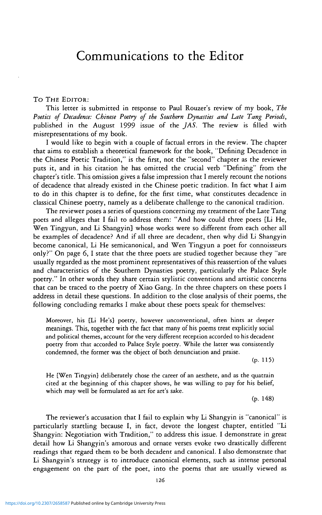## TO THE EDITOR:

This letter is submitted in response to Paul Rouzer's review of my book, *The Poetics of Decadence: Chinese Poetry of the Southern Dynasties and Late Tang Periods,* published in the August 1999 issue of the *JAS.* The review is filled with misrepresentations of my book.

I would like to begin with a couple of factual errors in the review. The chapter that aims to establish a theoretical framework for the book, "Defining Decadence in the Chinese Poetic Tradition," is the first, not the "second" chapter as the reviewer puts it, and in his citation he has omitted the crucial verb "Defining" from the chapter's title. This omission gives a false impression that I merely recount the notions of decadence that already existed in the Chinese poetic tradition. In fact what I aim to do in this chapter is to define, for the first time, what constitutes decadence in classical Chinese poetry, namely as a deliberate challenge to the canonical tradition.

The reviewer poses a series of questions concerning my treatment of the Late Tang poets and alleges that I fail to address them: "And how could three poets [Li He, Wen Tingyun, and Li Shangyin] whose works were so different from each other all be examples of decadence? And if all three are decadent, then why did Li Shangyin become canonical, Li He semicanonical, and Wen Tingyun a poet for connoisseurs only?" On page 6, I state that the three poets are studied together because they "are usually regarded as the most prominent representatives of this reassertion of the values and characteristics of the Southern Dynasties poetry, particularly the Palace Style poetry." In other words they share certain stylistic conventions and artistic concerns that can be traced to the poetry of Xiao Gang. In the three chapters on these poets I address in detail these questions. In addition to the close analysis of their poems, the following concluding remarks I make about these poets speak for themselves:

Moreover, his [Li He's] poetry, however unconventional, often hints at deeper meanings. This, together with the fact that many of his poems treat explicitly social and political themes, account for the very different reception accorded to his decadent poetry from that accorded to Palace Style poetry. While the latter was consistently condemned, the fotmer was the object of both denunciation and praise.

(p. 115)

He [Wen Tingyin] deliberately chose the career of an aesthete, and as the quatrain cited at the beginning of this chapter shows, he was willing to pay for his belief, which may well be formulated as art for art's sake.

(p. 148)

The reviewer's accusation that I fail to explain why Li Shangyin is "canonical" is particularly startling because I, in fact, devote the longest chapter, entitled "Li Shangyin: Negotiation with Tradition," to address this issue. I demonstrate in great detail how Li Shangyin's amorous and ornate verses evoke two drastically different readings that regard them to be both decadent and canonical. I also demonstrate that Li Shangyin's strategy is to introduce canonical elements, such as intense personal engagement on the part of the poet, into the poems that are usually viewed as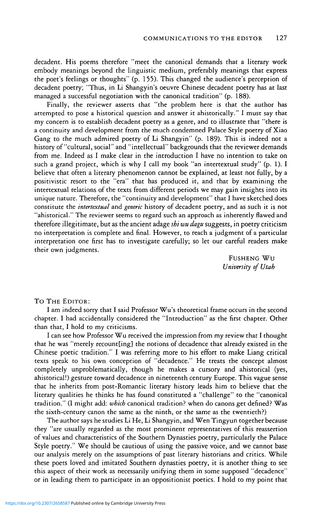decadent. His poems therefore "meet the canonical demands that a literary work embody meanings beyond the linguistic medium, preferably meanings that express the poet's feelings or thoughts" (p. 155). This changed the audience's perception of decadent poetry; "Thus, in Li Shangyin's oeuvre Chinese decadent poetry has at last managed a successful negotiation with the canonical tradition" (p. 188).

Finally, the reviewer asserts that "the problem here is that the author has attempted to pose a historical question and answer it ahistorically." I must say that my concern is to establish decadent poetry as a genre, and to illustrate that "there is a continuity and development from the much condemned Palace Style poetry of Xiao Gang to the much admired poetry of Li Shangyin" (p. 189). This is indeed not a history of "cultural, social" and "intellectual" backgrounds that the reviewer demands from me. Indeed as I make clear in the introduction I have no intention to take on such a grand project, which is why I call my book "an intertextual study" (p. 1). I believe that often a literary phenomenon cannot be explained, at least not fully, by a positivistic resort to the "era" that has produced it, and that by examining the intertextual relations of the texts from different periods we may gain insights into its unique nature. Therefore, the "continuity and development" that I have sketched does constitute the *intertextual* and *generic* history of decadent poetry, and as such it is not "ahistorical." The reviewer seems to regard such an approach as inherently flawed and therefore illegitimate, but as the ancient adage *shi wu dagu* suggests, in poetry criticism no interpretation is complete and final. However, to reach a judgment of a particular interpretation one first has to investigate carefully; so let our careful readers make their own judgments.

> FUSHENG Wu *University of Utah*

TO THE EDITOR:

I am indeed sorry that I said Professor Wu's theoretical frame occurs in the second chapter. I had accidentally considered the "Introduction" as the first chapter. Other than that, I hold to my criticisms.

I can see how Professor Wu received the impression from my review that I thought that he was "merely recount[ing] the notions of decadence that already existed in the Chinese poetic tradition." I was referring more to his effort to make Liang critical texts speak to his own conception of "decadence." He treats the concept almost completely unproblematically, though he makes a cursory and ahistorical (yes, ahistorical!) gesture toward decadence in nineteenth century Europe. This vague sense that he inherits from post-Romantic literary history leads him to believe that the literary qualities he thinks he has found constituted a "challenge" to the "canonical tradition." (I might add: *which* canonical tradition? when do canons get defined? Was the sixth-century canon the same as the ninth, or the same as the twentieth?)

The author says he studies Li He, Li Shangyin, and Wen Tingyun together because they "are usually regarded as the most prominent representatives of this reassertion of values and characteristics of the Southern Dynasties poetry, particularly the Palace Style poetry." We should be cautious of using the passive voice, and we cannot base our analysis merely on the assumptions of past literary historians and critics. While these poets loved and imitated Southern dynasties poetry, it is another thing to see this aspect of their work as necessarily unifying them in some supposed "decadence" or in leading them to participate in an oppositionist poetics. I hold to my point that